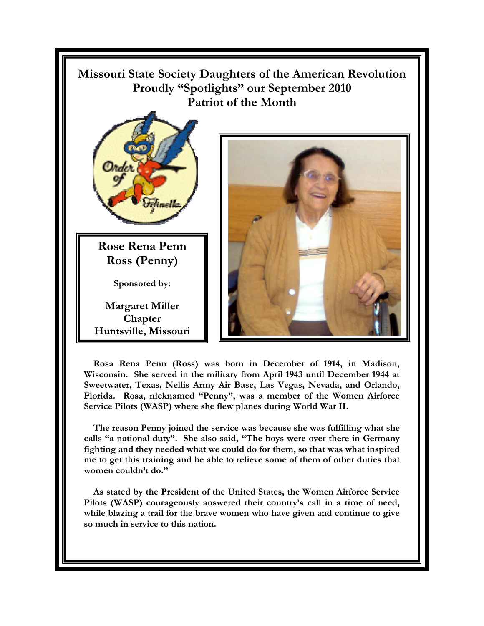

 **Rosa Rena Penn (Ross) was born in December of 1914, in Madison, Wisconsin. She served in the military from April 1943 until December 1944 at Sweetwater, Texas, Nellis Army Air Base, Las Vegas, Nevada, and Orlando, Florida. Rosa, nicknamed "Penny", was a member of the Women Airforce Service Pilots (WASP) where she flew planes during World War II.** 

 **The reason Penny joined the service was because she was fulfilling what she calls "a national duty". She also said, "The boys were over there in Germany fighting and they needed what we could do for them, so that was what inspired me to get this training and be able to relieve some of them of other duties that women couldn't do."** 

 **As stated by the President of the United States, the Women Airforce Service Pilots (WASP) courageously answered their country's call in a time of need, while blazing a trail for the brave women who have given and continue to give so much in service to this nation.**